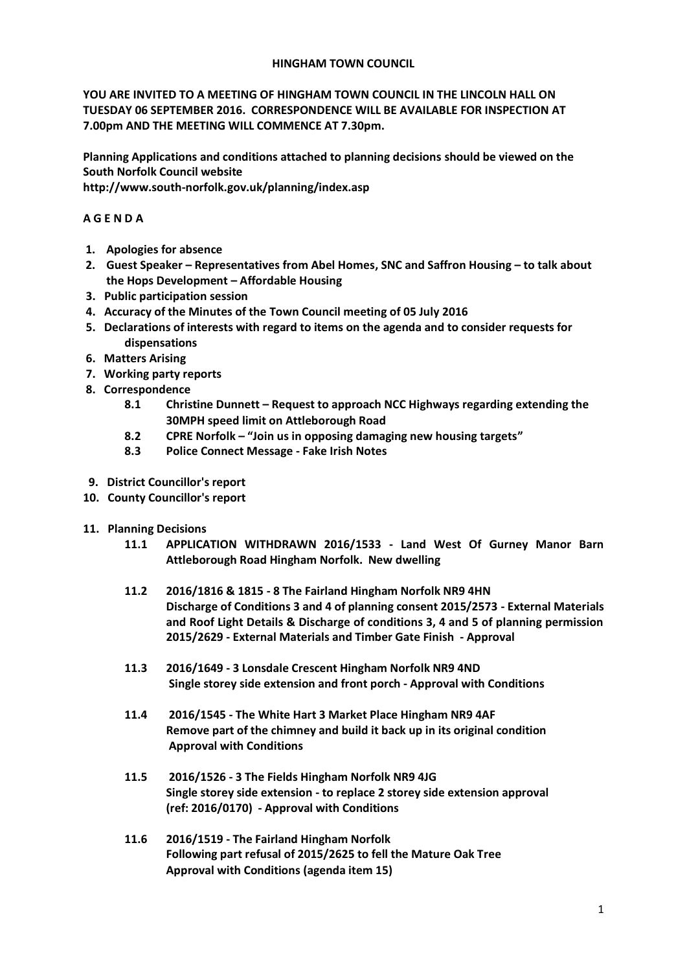### **HINGHAM TOWN COUNCIL**

**YOU ARE INVITED TO A MEETING OF HINGHAM TOWN COUNCIL IN THE LINCOLN HALL ON TUESDAY 06 SEPTEMBER 2016. CORRESPONDENCE WILL BE AVAILABLE FOR INSPECTION AT 7.00pm AND THE MEETING WILL COMMENCE AT 7.30pm.** 

**Planning Applications and conditions attached to planning decisions should be viewed on the South Norfolk Council website** 

**http://www.south-norfolk.gov.uk/planning/index.asp**

# **A G E N D A**

- **1. Apologies for absence**
- **2. Guest Speaker – Representatives from Abel Homes, SNC and Saffron Housing – to talk about the Hops Development – Affordable Housing**
- **3. Public participation session**
- **4. Accuracy of the Minutes of the Town Council meeting of 05 July 2016**
- **5. Declarations of interests with regard to items on the agenda and to consider requests for dispensations**
- **6. Matters Arising**
- **7. Working party reports**
- **8. Correspondence** 
	- **8.1 Christine Dunnett – Request to approach NCC Highways regarding extending the 30MPH speed limit on Attleborough Road**
	- **8.2 CPRE Norfolk – "Join us in opposing damaging new housing targets"**
	- **8.3 Police Connect Message - Fake Irish Notes**
- **9. District Councillor's report**
- **10. County Councillor's report**
- **11. Planning Decisions**
	- **11.1 APPLICATION WITHDRAWN 2016/1533 - Land West Of Gurney Manor Barn Attleborough Road Hingham Norfolk. New dwelling**
	- **11.2 2016/1816 & 1815 - 8 The Fairland Hingham Norfolk NR9 4HN Discharge of Conditions 3 and 4 of planning consent 2015/2573 - External Materials and Roof Light Details & Discharge of conditions 3, 4 and 5 of planning permission 2015/2629 - External Materials and Timber Gate Finish - Approval**
	- **11.3 2016/1649 - 3 Lonsdale Crescent Hingham Norfolk NR9 4ND Single storey side extension and front porch - Approval with Conditions**
	- **11.4 2016/1545 - The White Hart 3 Market Place Hingham NR9 4AF Remove part of the chimney and build it back up in its original condition Approval with Conditions**
	- **11.5 2016/1526 - 3 The Fields Hingham Norfolk NR9 4JG Single storey side extension - to replace 2 storey side extension approval (ref: 2016/0170) - Approval with Conditions**
	- **11.6 2016/1519 - The Fairland Hingham Norfolk Following part refusal of 2015/2625 to fell the Mature Oak Tree Approval with Conditions (agenda item 15)**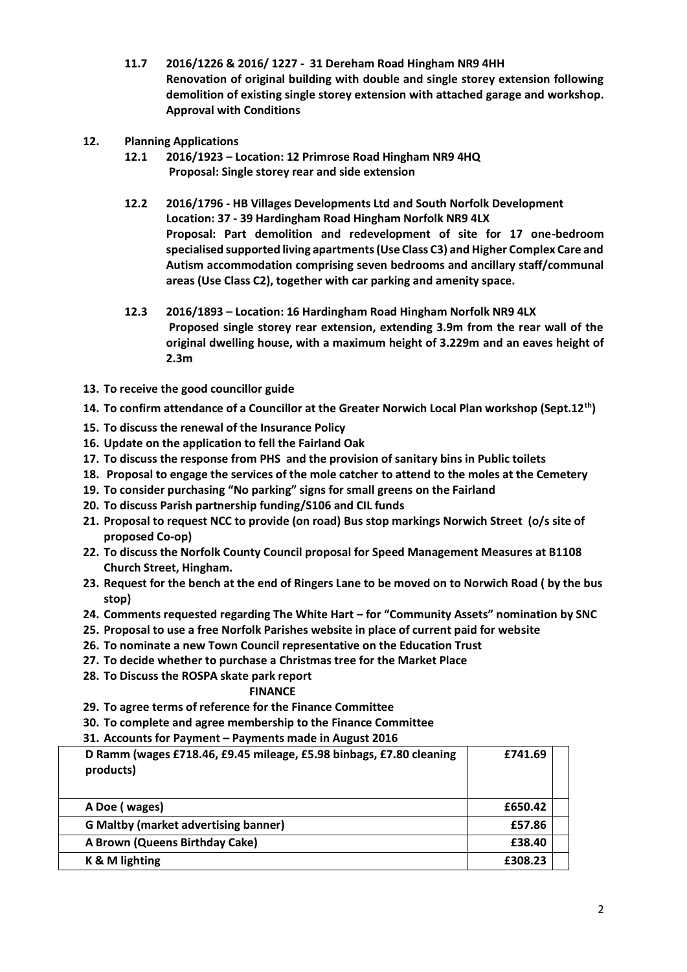- **11.7 2016/1226 & 2016/ 1227 31 Dereham Road Hingham NR9 4HH Renovation of original building with double and single storey extension following demolition of existing single storey extension with attached garage and workshop. Approval with Conditions**
- **12. Planning Applications** 
	- **12.1 2016/1923 – Location: 12 Primrose Road Hingham NR9 4HQ Proposal: Single storey rear and side extension**
	- **12.2 2016/1796 - HB Villages Developments Ltd and South Norfolk Development Location: 37 - 39 Hardingham Road Hingham Norfolk NR9 4LX Proposal: Part demolition and redevelopment of site for 17 one-bedroom specialised supported living apartments (Use Class C3) and Higher Complex Care and Autism accommodation comprising seven bedrooms and ancillary staff/communal areas (Use Class C2), together with car parking and amenity space.**
	- **12.3 2016/1893 – Location: 16 Hardingham Road Hingham Norfolk NR9 4LX Proposed single storey rear extension, extending 3.9m from the rear wall of the original dwelling house, with a maximum height of 3.229m and an eaves height of 2.3m**
- **13. To receive the good councillor guide**
- **14. To confirm attendance of a Councillor at the Greater Norwich Local Plan workshop (Sept.12th)**
- **15. To discuss the renewal of the Insurance Policy**
- **16. Update on the application to fell the Fairland Oak**
- **17. To discuss the response from PHS and the provision of sanitary bins in Public toilets**
- **18. Proposal to engage the services of the mole catcher to attend to the moles at the Cemetery**
- **19. To consider purchasing "No parking" signs for small greens on the Fairland**
- **20. To discuss Parish partnership funding/S106 and CIL funds**
- **21. Proposal to request NCC to provide (on road) Bus stop markings Norwich Street (o/s site of proposed Co-op)**
- **22. To discuss the Norfolk County Council proposal for Speed Management Measures at B1108 Church Street, Hingham.**
- **23. Request for the bench at the end of Ringers Lane to be moved on to Norwich Road ( by the bus stop)**
- **24. Comments requested regarding The White Hart – for "Community Assets" nomination by SNC**
- **25. Proposal to use a free Norfolk Parishes website in place of current paid for website**
- **26. To nominate a new Town Council representative on the Education Trust**
- **27. To decide whether to purchase a Christmas tree for the Market Place**
- **28. To Discuss the ROSPA skate park report**

### **FINANCE**

- **29. To agree terms of reference for the Finance Committee**
- **30. To complete and agree membership to the Finance Committee**

### **31. Accounts for Payment – Payments made in August 2016**

| D Ramm (wages £718.46, £9.45 mileage, £5.98 binbags, £7.80 cleaning<br>products) | £741.69 |
|----------------------------------------------------------------------------------|---------|
| A Doe (wages)                                                                    | £650.42 |
| <b>G Maltby (market advertising banner)</b>                                      | £57.86  |
| A Brown (Queens Birthday Cake)                                                   | £38.40  |
| K & M lighting                                                                   | £308.23 |